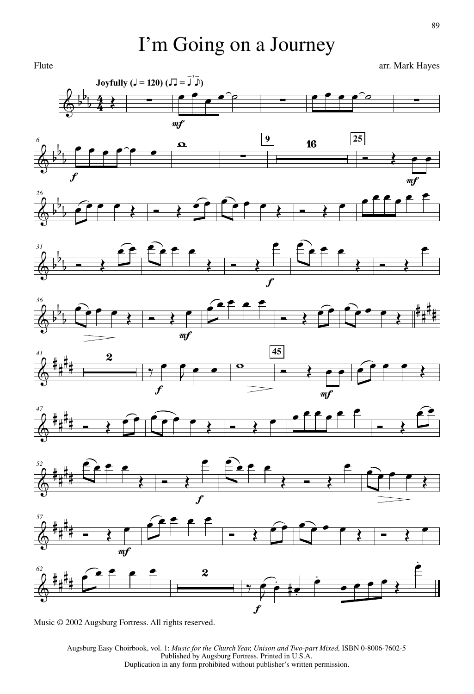## I'm Going on a Journey

arr. Mark Hayes



Music © 2002 Augsburg Fortress. All rights reserved.

Flute

Augsburg Easy Choirbook, vol. 1: *Music for the Church Year, Unison and Two-part Mixed,* ISBN 0-8006-7602-5 Published by Augsburg Fortress. Printed in U.S.A. Duplication in any form prohibited without publisher's written permission.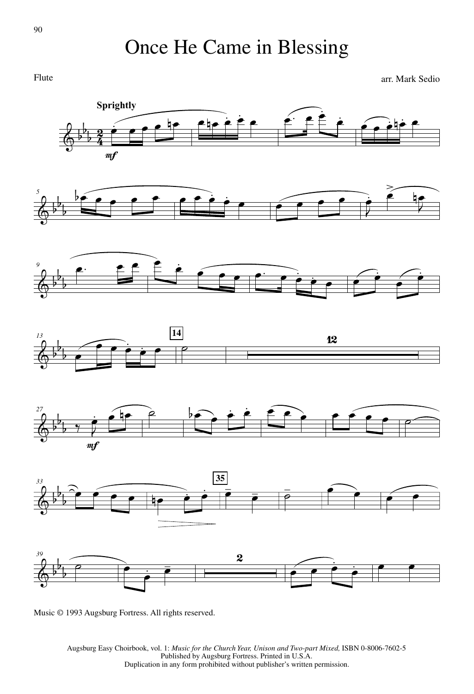Flute arr. Mark Sedio



Music © 1993 Augsburg Fortress. All rights reserved.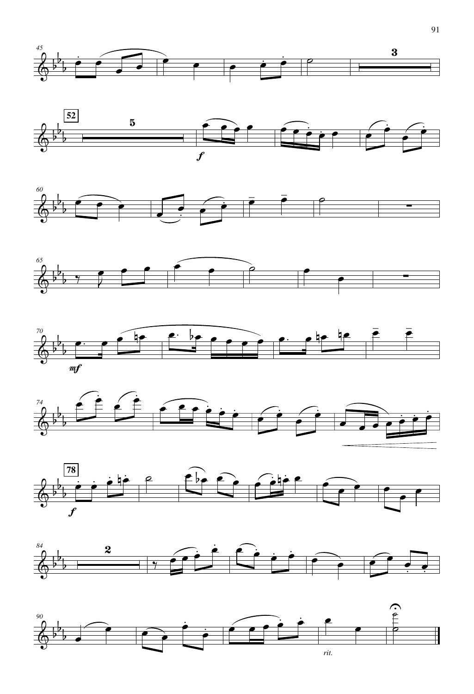















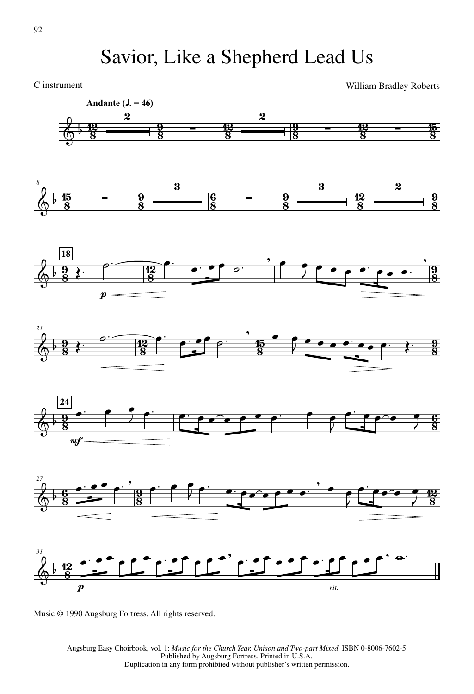C instrument

William Bradley Roberts



Music © 1990 Augsburg Fortress. All rights reserved.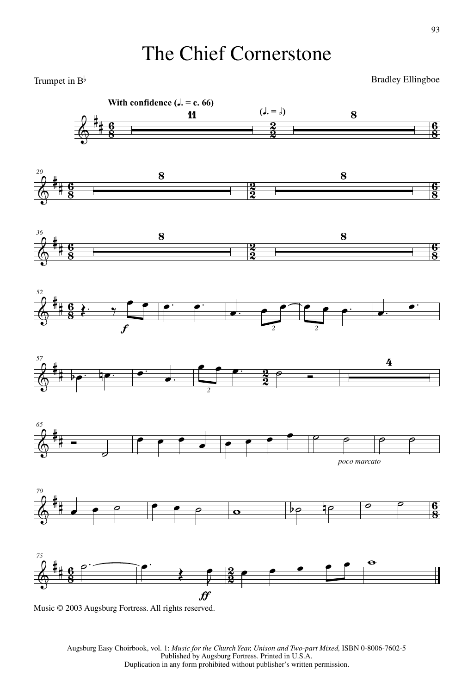## The Chief Cornerstone

Trumpet in  $\mathbf{B}^{\flat}$ 

Bradley Ellingboe



Music © 2003 Augsburg Fortress. All rights reserved.